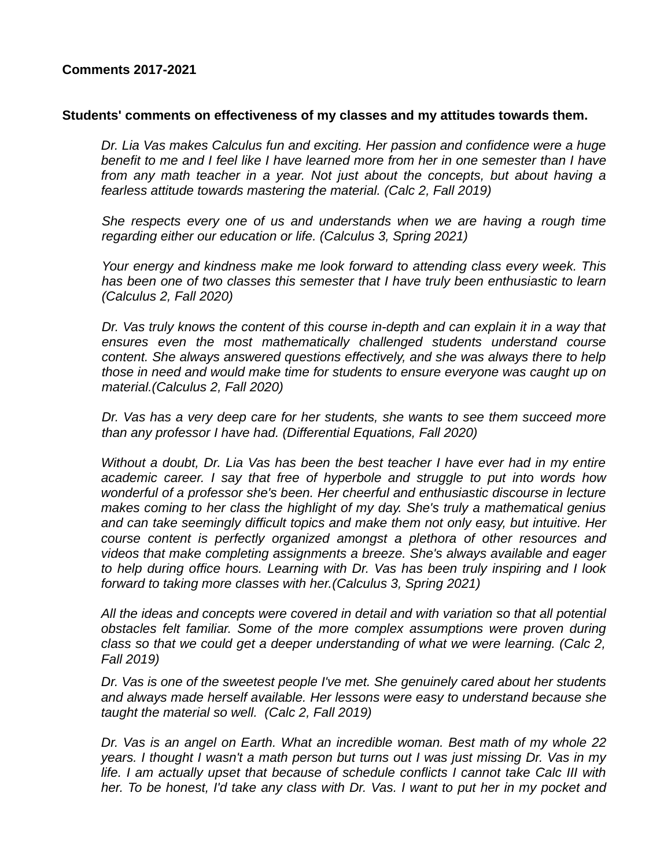## **Comments 2017-2021**

#### **Students' comments on effectiveness of my classes and my attitudes towards them.**

*Dr. Lia Vas makes Calculus fun and exciting. Her passion and confidence were a huge benefit to me and I feel like I have learned more from her in one semester than I have from any math teacher in a year. Not just about the concepts, but about having a fearless attitude towards mastering the material. (Calc 2, Fall 2019)*

*She respects every one of us and understands when we are having a rough time regarding either our education or life. (Calculus 3, Spring 2021)*

*Your energy and kindness make me look forward to attending class every week. This has been one of two classes this semester that I have truly been enthusiastic to learn (Calculus 2, Fall 2020)*

*Dr. Vas truly knows the content of this course in-depth and can explain it in a way that ensures even the most mathematically challenged students understand course content. She always answered questions effectively, and she was always there to help those in need and would make time for students to ensure everyone was caught up on material.(Calculus 2, Fall 2020)*

*Dr. Vas has a very deep care for her students, she wants to see them succeed more than any professor I have had. (Differential Equations, Fall 2020)*

*Without a doubt, Dr. Lia Vas has been the best teacher I have ever had in my entire academic career. I say that free of hyperbole and struggle to put into words how wonderful of a professor she's been. Her cheerful and enthusiastic discourse in lecture makes coming to her class the highlight of my day. She's truly a mathematical genius and can take seemingly difficult topics and make them not only easy, but intuitive. Her course content is perfectly organized amongst a plethora of other resources and videos that make completing assignments a breeze. She's always available and eager to help during office hours. Learning with Dr. Vas has been truly inspiring and I look forward to taking more classes with her.(Calculus 3, Spring 2021)*

*All the ideas and concepts were covered in detail and with variation so that all potential obstacles felt familiar. Some of the more complex assumptions were proven during class so that we could get a deeper understanding of what we were learning. (Calc 2, Fall 2019)*

*Dr. Vas is one of the sweetest people I've met. She genuinely cared about her students and always made herself available. Her lessons were easy to understand because she taught the material so well. (Calc 2, Fall 2019)*

*Dr. Vas is an angel on Earth. What an incredible woman. Best math of my whole 22 years. I thought I wasn't a math person but turns out I was just missing Dr. Vas in my life. I am actually upset that because of schedule conflicts I cannot take Calc III with her. To be honest, I'd take any class with Dr. Vas. I want to put her in my pocket and*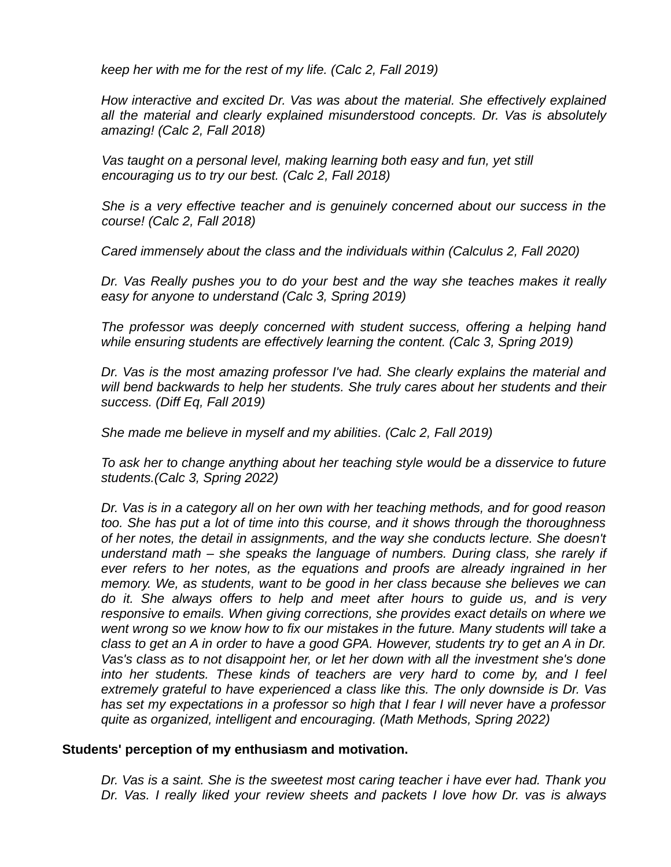*keep her with me for the rest of my life. (Calc 2, Fall 2019)*

*How interactive and excited Dr. Vas was about the material. She effectively explained all the material and clearly explained misunderstood concepts. Dr. Vas is absolutely amazing! (Calc 2, Fall 2018)*

*Vas taught on a personal level, making learning both easy and fun, yet still encouraging us to try our best. (Calc 2, Fall 2018)*

*She is a very effective teacher and is genuinely concerned about our success in the course! (Calc 2, Fall 2018)*

*Cared immensely about the class and the individuals within (Calculus 2, Fall 2020)*

*Dr. Vas Really pushes you to do your best and the way she teaches makes it really easy for anyone to understand (Calc 3, Spring 2019)*

*The professor was deeply concerned with student success, offering a helping hand while ensuring students are effectively learning the content. (Calc 3, Spring 2019)*

*Dr. Vas is the most amazing professor I've had. She clearly explains the material and will bend backwards to help her students. She truly cares about her students and their success. (Diff Eq, Fall 2019)*

*She made me believe in myself and my abilities. (Calc 2, Fall 2019)*

*To ask her to change anything about her teaching style would be a disservice to future students.(Calc 3, Spring 2022)*

*Dr. Vas is in a category all on her own with her teaching methods, and for good reason too. She has put a lot of time into this course, and it shows through the thoroughness of her notes, the detail in assignments, and the way she conducts lecture. She doesn't understand math – she speaks the language of numbers. During class, she rarely if ever refers to her notes, as the equations and proofs are already ingrained in her memory. We, as students, want to be good in her class because she believes we can do it. She always offers to help and meet after hours to guide us, and is very responsive to emails. When giving corrections, she provides exact details on where we went wrong so we know how to fix our mistakes in the future. Many students will take a class to get an A in order to have a good GPA. However, students try to get an A in Dr. Vas's class as to not disappoint her, or let her down with all the investment she's done into her students. These kinds of teachers are very hard to come by, and I feel extremely grateful to have experienced a class like this. The only downside is Dr. Vas has set my expectations in a professor so high that I fear I will never have a professor quite as organized, intelligent and encouraging. (Math Methods, Spring 2022)*

### **Students' perception of my enthusiasm and motivation.**

*Dr. Vas is a saint. She is the sweetest most caring teacher i have ever had. Thank you Dr. Vas. I really liked your review sheets and packets I love how Dr. vas is always*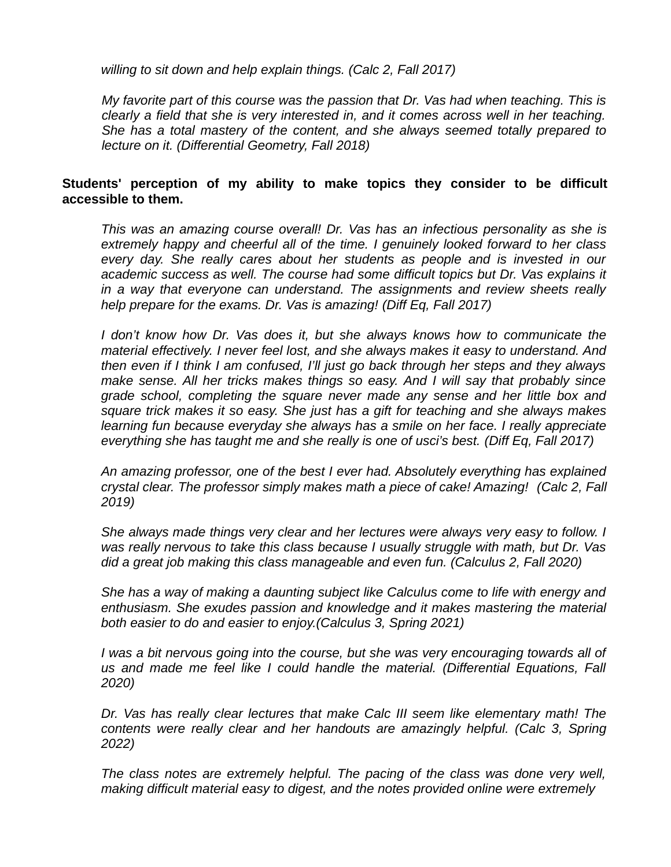*willing to sit down and help explain things. (Calc 2, Fall 2017)*

*My favorite part of this course was the passion that Dr. Vas had when teaching. This is clearly a field that she is very interested in, and it comes across well in her teaching. She has a total mastery of the content, and she always seemed totally prepared to lecture on it. (Differential Geometry, Fall 2018)*

# **Students' perception of my ability to make topics they consider to be difficult accessible to them.**

*This was an amazing course overall! Dr. Vas has an infectious personality as she is extremely happy and cheerful all of the time. I genuinely looked forward to her class every day. She really cares about her students as people and is invested in our academic success as well. The course had some difficult topics but Dr. Vas explains it in a way that everyone can understand. The assignments and review sheets really help prepare for the exams. Dr. Vas is amazing! (Diff Eq, Fall 2017)*

*I don't know how Dr. Vas does it, but she always knows how to communicate the material effectively. I never feel lost, and she always makes it easy to understand. And then even if I think I am confused, I'll just go back through her steps and they always make sense. All her tricks makes things so easy. And I will say that probably since grade school, completing the square never made any sense and her little box and square trick makes it so easy. She just has a gift for teaching and she always makes learning fun because everyday she always has a smile on her face. I really appreciate everything she has taught me and she really is one of usci's best. (Diff Eq, Fall 2017)*

*An amazing professor, one of the best I ever had. Absolutely everything has explained crystal clear. The professor simply makes math a piece of cake! Amazing! (Calc 2, Fall 2019)*

*She always made things very clear and her lectures were always very easy to follow. I was really nervous to take this class because I usually struggle with math, but Dr. Vas did a great job making this class manageable and even fun. (Calculus 2, Fall 2020)*

*She has a way of making a daunting subject like Calculus come to life with energy and enthusiasm. She exudes passion and knowledge and it makes mastering the material both easier to do and easier to enjoy.(Calculus 3, Spring 2021)*

*I was a bit nervous going into the course, but she was very encouraging towards all of us and made me feel like I could handle the material. (Differential Equations, Fall 2020)*

*Dr. Vas has really clear lectures that make Calc III seem like elementary math! The contents were really clear and her handouts are amazingly helpful. (Calc 3, Spring 2022)*

*The class notes are extremely helpful. The pacing of the class was done very well, making difficult material easy to digest, and the notes provided online were extremely*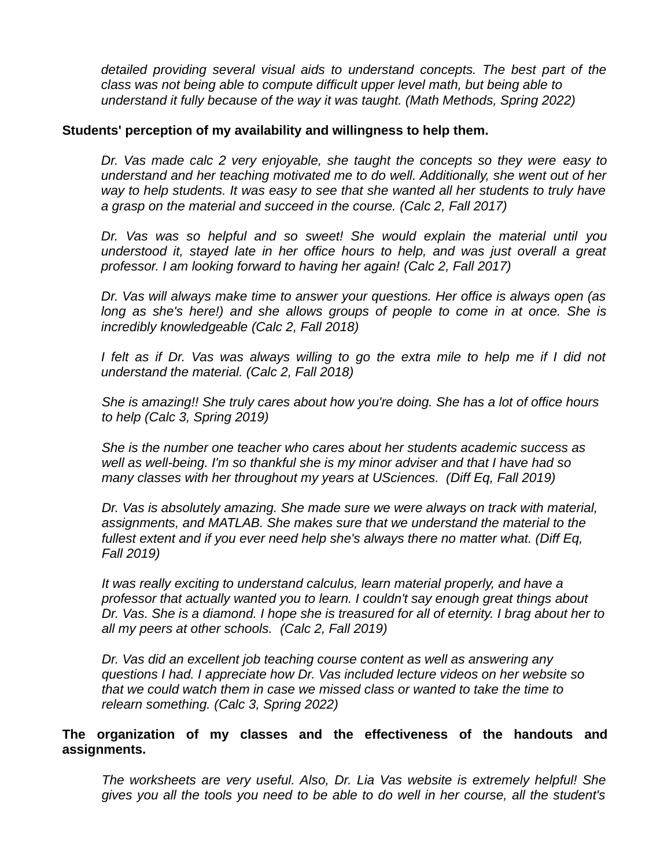*detailed providing several visual aids to understand concepts. The best part of the class was not being able to compute difficult upper level math, but being able to understand it fully because of the way it was taught. (Math Methods, Spring 2022)*

## **Students' perception of my availability and willingness to help them.**

*Dr. Vas made calc 2 very enjoyable, she taught the concepts so they were easy to understand and her teaching motivated me to do well. Additionally, she went out of her way to help students. It was easy to see that she wanted all her students to truly have a grasp on the material and succeed in the course. (Calc 2, Fall 2017)*

*Dr. Vas was so helpful and so sweet! She would explain the material until you understood it, stayed late in her office hours to help, and was just overall a great professor. I am looking forward to having her again! (Calc 2, Fall 2017)*

*Dr. Vas will always make time to answer your questions. Her office is always open (as long as she's here!) and she allows groups of people to come in at once. She is incredibly knowledgeable (Calc 2, Fall 2018)*

*I felt as if Dr. Vas was always willing to go the extra mile to help me if I did not understand the material. (Calc 2, Fall 2018)*

*She is amazing!! She truly cares about how you're doing. She has a lot of office hours to help (Calc 3, Spring 2019)*

*She is the number one teacher who cares about her students academic success as well as well-being. I'm so thankful she is my minor adviser and that I have had so many classes with her throughout my years at USciences. (Diff Eq, Fall 2019)*

*Dr. Vas is absolutely amazing. She made sure we were always on track with material, assignments, and MATLAB. She makes sure that we understand the material to the fullest extent and if you ever need help she's always there no matter what. (Diff Eq, Fall 2019)* 

*It was really exciting to understand calculus, learn material properly, and have a professor that actually wanted you to learn. I couldn't say enough great things about Dr. Vas. She is a diamond. I hope she is treasured for all of eternity. I brag about her to all my peers at other schools. (Calc 2, Fall 2019)*

*Dr. Vas did an excellent job teaching course content as well as answering any questions I had. I appreciate how Dr. Vas included lecture videos on her website so that we could watch them in case we missed class or wanted to take the time to relearn something. (Calc 3, Spring 2022)*

# **The organization of my classes and the effectiveness of the handouts and assignments.**

*The worksheets are very useful. Also, Dr. Lia Vas website is extremely helpful! She gives you all the tools you need to be able to do well in her course, all the student's*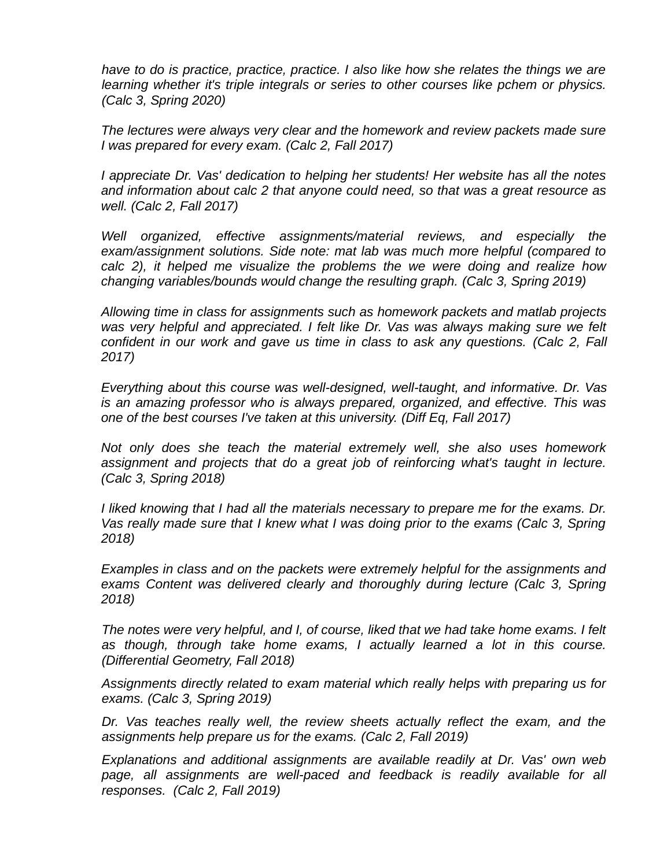*have to do is practice, practice, practice. I also like how she relates the things we are learning whether it's triple integrals or series to other courses like pchem or physics. (Calc 3, Spring 2020)*

*The lectures were always very clear and the homework and review packets made sure I was prepared for every exam. (Calc 2, Fall 2017)*

*I appreciate Dr. Vas' dedication to helping her students! Her website has all the notes and information about calc 2 that anyone could need, so that was a great resource as well. (Calc 2, Fall 2017)*

*Well organized, effective assignments/material reviews, and especially the exam/assignment solutions. Side note: mat lab was much more helpful (compared to calc 2), it helped me visualize the problems the we were doing and realize how changing variables/bounds would change the resulting graph. (Calc 3, Spring 2019)*

*Allowing time in class for assignments such as homework packets and matlab projects was very helpful and appreciated. I felt like Dr. Vas was always making sure we felt confident in our work and gave us time in class to ask any questions. (Calc 2, Fall 2017)*

*Everything about this course was well-designed, well-taught, and informative. Dr. Vas is an amazing professor who is always prepared, organized, and effective. This was one of the best courses I've taken at this university. (Diff Eq, Fall 2017)*

*Not only does she teach the material extremely well, she also uses homework assignment and projects that do a great job of reinforcing what's taught in lecture. (Calc 3, Spring 2018)*

*I liked knowing that I had all the materials necessary to prepare me for the exams. Dr. Vas really made sure that I knew what I was doing prior to the exams (Calc 3, Spring 2018)*

*Examples in class and on the packets were extremely helpful for the assignments and exams Content was delivered clearly and thoroughly during lecture (Calc 3, Spring 2018)*

*The notes were very helpful, and I, of course, liked that we had take home exams. I felt as though, through take home exams, I actually learned a lot in this course. (Differential Geometry, Fall 2018)*

*Assignments directly related to exam material which really helps with preparing us for exams. (Calc 3, Spring 2019)*

*Dr. Vas teaches really well, the review sheets actually reflect the exam, and the assignments help prepare us for the exams. (Calc 2, Fall 2019)*

*Explanations and additional assignments are available readily at Dr. Vas' own web page, all assignments are well-paced and feedback is readily available for all responses. (Calc 2, Fall 2019)*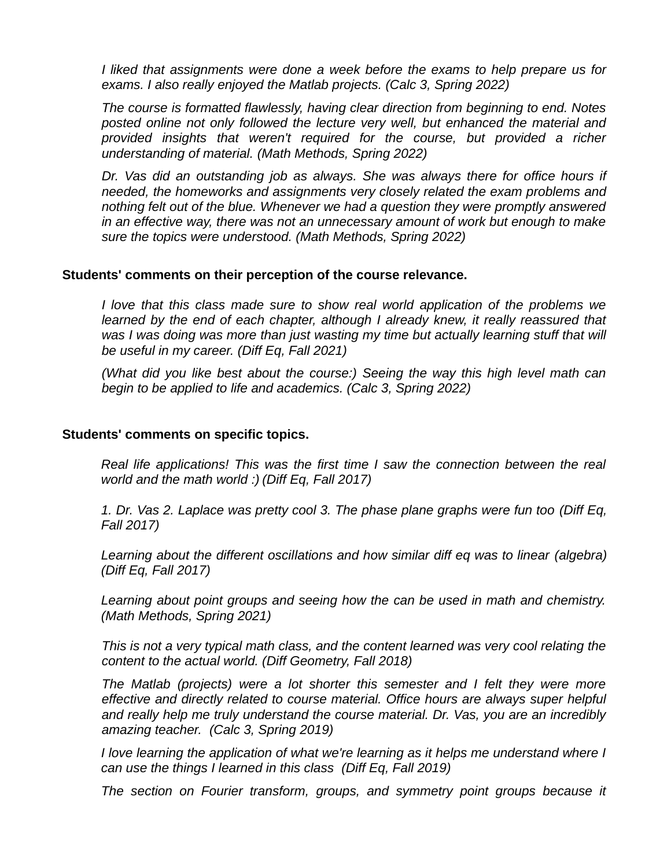*I liked that assignments were done a week before the exams to help prepare us for exams. I also really enjoyed the Matlab projects. (Calc 3, Spring 2022)*

*The course is formatted flawlessly, having clear direction from beginning to end. Notes posted online not only followed the lecture very well, but enhanced the material and provided insights that weren't required for the course, but provided a richer understanding of material. (Math Methods, Spring 2022)*

*Dr. Vas did an outstanding job as always. She was always there for office hours if needed, the homeworks and assignments very closely related the exam problems and nothing felt out of the blue. Whenever we had a question they were promptly answered in an effective way, there was not an unnecessary amount of work but enough to make sure the topics were understood. (Math Methods, Spring 2022)*

### **Students' comments on their perception of the course relevance.**

*I love that this class made sure to show real world application of the problems we learned by the end of each chapter, although I already knew, it really reassured that* was I was doing was more than just wasting my time but actually learning stuff that will *be useful in my career. (Diff Eq, Fall 2021)*

*(What did you like best about the course:) Seeing the way this high level math can begin to be applied to life and academics. (Calc 3, Spring 2022)*

#### **Students' comments on specific topics.**

*Real life applications! This was the first time I saw the connection between the real world and the math world :) (Diff Eq, Fall 2017)*

*1. Dr. Vas 2. Laplace was pretty cool 3. The phase plane graphs were fun too (Diff Eq, Fall 2017)*

*Learning about the different oscillations and how similar diff eq was to linear (algebra) (Diff Eq, Fall 2017)*

*Learning about point groups and seeing how the can be used in math and chemistry. (Math Methods, Spring 2021)*

*This is not a very typical math class, and the content learned was very cool relating the content to the actual world. (Diff Geometry, Fall 2018)*

*The Matlab (projects) were a lot shorter this semester and I felt they were more effective and directly related to course material. Office hours are always super helpful and really help me truly understand the course material. Dr. Vas, you are an incredibly amazing teacher. (Calc 3, Spring 2019)*

*I love learning the application of what we're learning as it helps me understand where I can use the things I learned in this class (Diff Eq, Fall 2019)*

*The section on Fourier transform, groups, and symmetry point groups because it*